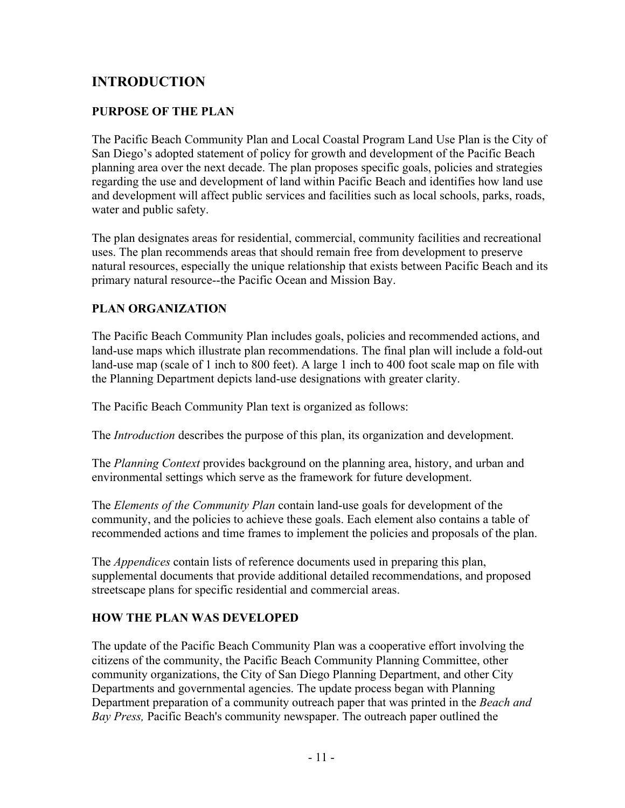## **INTRODUCTION**

## **PURPOSE OF THE PLAN**

The Pacific Beach Community Plan and Local Coastal Program Land Use Plan is the City of San Diego's adopted statement of policy for growth and development of the Pacific Beach planning area over the next decade. The plan proposes specific goals, policies and strategies regarding the use and development of land within Pacific Beach and identifies how land use and development will affect public services and facilities such as local schools, parks, roads, water and public safety.

The plan designates areas for residential, commercial, community facilities and recreational uses. The plan recommends areas that should remain free from development to preserve natural resources, especially the unique relationship that exists between Pacific Beach and its primary natural resource--the Pacific Ocean and Mission Bay.

## **PLAN ORGANIZATION**

The Pacific Beach Community Plan includes goals, policies and recommended actions, and land-use maps which illustrate plan recommendations. The final plan will include a fold-out land-use map (scale of 1 inch to 800 feet). A large 1 inch to 400 foot scale map on file with the Planning Department depicts land-use designations with greater clarity.

The Pacific Beach Community Plan text is organized as follows:

The *Introduction* describes the purpose of this plan, its organization and development.

The *Planning Context* provides background on the planning area, history, and urban and environmental settings which serve as the framework for future development.

The *Elements of the Community Plan* contain land-use goals for development of the community, and the policies to achieve these goals. Each element also contains a table of recommended actions and time frames to implement the policies and proposals of the plan.

The *Appendices* contain lists of reference documents used in preparing this plan, supplemental documents that provide additional detailed recommendations, and proposed streetscape plans for specific residential and commercial areas.

## **HOW THE PLAN WAS DEVELOPED**

The update of the Pacific Beach Community Plan was a cooperative effort involving the citizens of the community, the Pacific Beach Community Planning Committee, other community organizations, the City of San Diego Planning Department, and other City Departments and governmental agencies. The update process began with Planning Department preparation of a community outreach paper that was printed in the *Beach and Bay Press,* Pacific Beach's community newspaper. The outreach paper outlined the